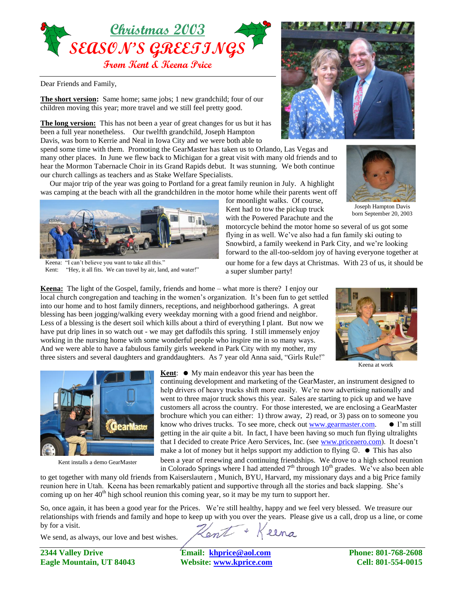

Dear Friends and Family,

**The short version:** Same home; same jobs; 1 new grandchild; four of our children moving this year; more travel and we still feel pretty good.

**The long version:** This has not been a year of great changes for us but it has been a full year nonetheless. Our twelfth grandchild, Joseph Hampton Davis, was born to Kerrie and Neal in Iowa City and we were both able to

spend some time with them. Promoting the GearMaster has taken us to Orlando, Las Vegas and many other places. In June we flew back to Michigan for a great visit with many old friends and to hear the Mormon Tabernacle Choir in its Grand Rapids debut. It was stunning. We both continue our church callings as teachers and as Stake Welfare Specialists.

 Our major trip of the year was going to Portland for a great family reunion in July. A highlight was camping at the beach with all the grandchildren in the motor home while their parents went off



Keena: "I can't believe you want to take all this." Kent: "Hey, it all fits. We can travel by air, land, and water!"





Joseph Hampton Davis born September 20, 2003

with the Powered Parachute and the motorcycle behind the motor home so several of us got some flying in as well. We've also had a fun family ski outing to Snowbird, a family weekend in Park City, and we're looking forward to the all-too-seldom joy of having everyone together at

for moonlight walks. Of course, Kent had to tow the pickup truck

our home for a few days at Christmas. With 23 of us, it should be a super slumber party!

**Keena:** The light of the Gospel, family, friends and home – what more is there? I enjoy our local church congregation and teaching in the women's organization. It's been fun to get settled into our home and to host family dinners, receptions, and neighborhood gatherings. A great blessing has been jogging/walking every weekday morning with a good friend and neighbor. Less of a blessing is the desert soil which kills about a third of everything I plant. But now we have put drip lines in so watch out - we may get daffodils this spring. I still immensely enjoy working in the nursing home with some wonderful people who inspire me in so many ways. And we were able to have a fabulous family girls weekend in Park City with my mother, my three sisters and several daughters and granddaughters. As 7 year old Anna said, "Girls Rule!"



Keena at work



Kent installs a demo GearMaster

**Kent:**  $\bullet$  My main endeavor this year has been the

continuing development and marketing of the GearMaster, an instrument designed to help drivers of heavy trucks shift more easily. We're now advertising nationally and went to three major truck shows this year. Sales are starting to pick up and we have customers all across the country. For those interested, we are enclosing a GearMaster brochure which you can either: 1) throw away, 2) read, or 3) pass on to someone you know who drives trucks. To see more, check out www.gearmaster.com.  $\bullet$  I'm still getting in the air quite a bit. In fact, I have been having so much fun flying ultralights that I decided to create Price Aero Services, Inc. (see www.priceaero.com). It doesn't make a lot of money but it helps support my addiction to flying  $\mathcal{O}$ .  $\bullet$  This has also been a year of renewing and continuing friendships. We drove to a high school reunion

in Colorado Springs where I had attended  $7<sup>th</sup>$  through  $10<sup>th</sup>$  grades. We've also been able to get together with many old friends from Kaiserslautern , Munich, BYU, Harvard, my missionary days and a big Price family reunion here in Utah. Keena has been remarkably patient and supportive through all the stories and back slapping. She's coming up on her  $40<sup>th</sup>$  high school reunion this coming year, so it may be my turn to support her.

So, once again, it has been a good year for the Prices. We're still healthy, happy and we feel very blessed. We treasure our relationships with friends and family and hope to keep up with you over the years. Please give us a call, drop us a line, or come by for a visit. Keena Hent +

We send, as always, our love and best wishes.

**2344 Valley Drive Email: [khprice@aol.com](mailto:khprice@aol.com) Phone: 801-768-2608 Eagle Mountain, UT 84043 Website: [www.kprice.com](http://www.kprice.com/) Cell: 801-554-0015**